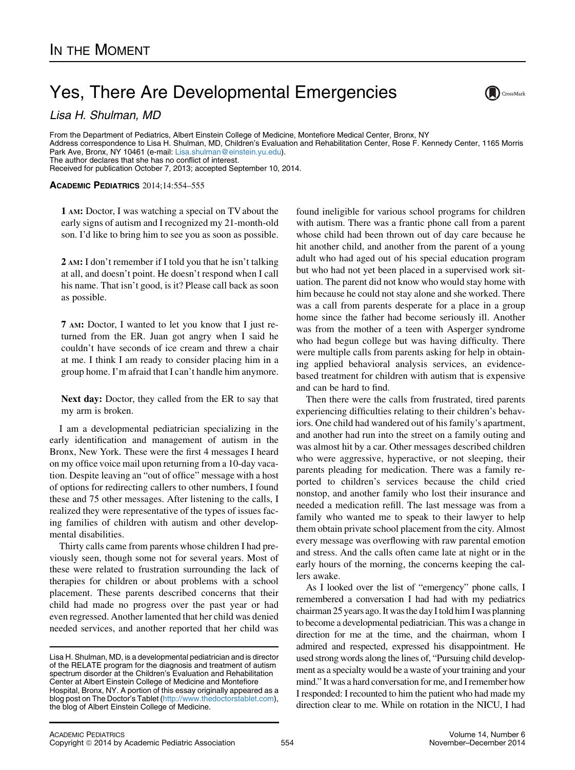## Yes, There Are Developmental Emergencies

Lisa H. Shulman, MD

From the Department of Pediatrics, Albert Einstein College of Medicine, Montefiore Medical Center, Bronx, NY Address correspondence to Lisa H. Shulman, MD, Children's Evaluation and Rehabilitation Center, Rose F. Kennedy Center, 1165 Morris

Park Ave, Bronx, NY 10461 (e-mail: [Lisa.shulman@einstein.yu.edu](mailto:Lisa.shulman@einstein.yu.edu)). The author declares that she has no conflict of interest.

Received for publication October 7, 2013; accepted September 10, 2014.

## ACADEMIC PEDIATRICS 2014;14:554–555

1 AM: Doctor, I was watching a special on TV about the early signs of autism and I recognized my 21-month-old son. I'd like to bring him to see you as soon as possible.

2 AM: I don't remember if I told you that he isn't talking at all, and doesn't point. He doesn't respond when I call his name. That isn't good, is it? Please call back as soon as possible.

7 AM: Doctor, I wanted to let you know that I just returned from the ER. Juan got angry when I said he couldn't have seconds of ice cream and threw a chair at me. I think I am ready to consider placing him in a group home. I'm afraid that I can't handle him anymore.

Next day: Doctor, they called from the ER to say that my arm is broken.

I am a developmental pediatrician specializing in the early identification and management of autism in the Bronx, New York. These were the first 4 messages I heard on my office voice mail upon returning from a 10-day vacation. Despite leaving an "out of office" message with a host of options for redirecting callers to other numbers, I found these and 75 other messages. After listening to the calls, I realized they were representative of the types of issues facing families of children with autism and other developmental disabilities.

Thirty calls came from parents whose children I had previously seen, though some not for several years. Most of these were related to frustration surrounding the lack of therapies for children or about problems with a school placement. These parents described concerns that their child had made no progress over the past year or had even regressed. Another lamented that her child was denied needed services, and another reported that her child was

found ineligible for various school programs for children with autism. There was a frantic phone call from a parent whose child had been thrown out of day care because he hit another child, and another from the parent of a young adult who had aged out of his special education program but who had not yet been placed in a supervised work situation. The parent did not know who would stay home with him because he could not stay alone and she worked. There was a call from parents desperate for a place in a group home since the father had become seriously ill. Another was from the mother of a teen with Asperger syndrome who had begun college but was having difficulty. There were multiple calls from parents asking for help in obtaining applied behavioral analysis services, an evidencebased treatment for children with autism that is expensive and can be hard to find.

 $\sum$ CrossMark

Then there were the calls from frustrated, tired parents experiencing difficulties relating to their children's behaviors. One child had wandered out of his family's apartment, and another had run into the street on a family outing and was almost hit by a car. Other messages described children who were aggressive, hyperactive, or not sleeping, their parents pleading for medication. There was a family reported to children's services because the child cried nonstop, and another family who lost their insurance and needed a medication refill. The last message was from a family who wanted me to speak to their lawyer to help them obtain private school placement from the city. Almost every message was overflowing with raw parental emotion and stress. And the calls often came late at night or in the early hours of the morning, the concerns keeping the callers awake.

As I looked over the list of "emergency" phone calls, I remembered a conversation I had had with my pediatrics chairman 25 years ago. It was the day I told him I was planning to become a developmental pediatrician. This was a change in direction for me at the time, and the chairman, whom I admired and respected, expressed his disappointment. He used strong words along the lines of, "Pursuing child development as a specialty would be a waste of your training and your mind." It was a hard conversation for me, and I remember how I responded: I recounted to him the patient who had made my direction clear to me. While on rotation in the NICU, I had

Lisa H. Shulman, MD, is a developmental pediatrician and is director of the RELATE program for the diagnosis and treatment of autism spectrum disorder at the Children's Evaluation and Rehabilitation Center at Albert Einstein College of Medicine and Montefiore Hospital, Bronx, NY. A portion of this essay originally appeared as a blog post on The Doctor's Tablet ([http://www.thedoctorstablet.com\)](http://www.thedoctorstablet.com), the blog of Albert Einstein College of Medicine.